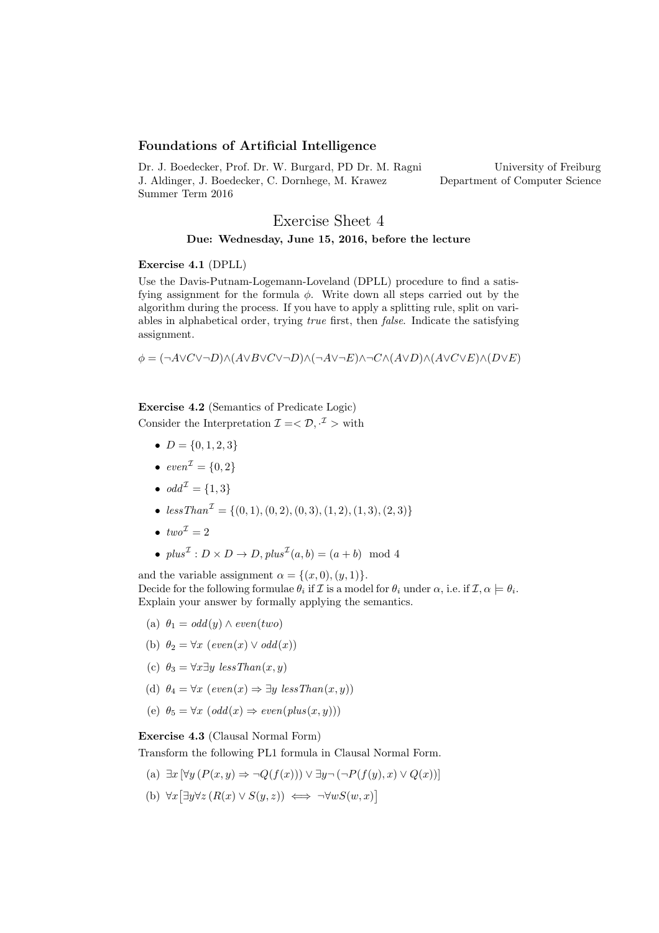### Foundations of Artificial Intelligence

Dr. J. Boedecker, Prof. Dr. W. Burgard, PD Dr. M. Ragni J. Aldinger, J. Boedecker, C. Dornhege, M. Krawez Summer Term 2016 University of Freiburg Department of Computer Science

# Exercise Sheet 4 Due: Wednesday, June 15, 2016, before the lecture

### Exercise 4.1 (DPLL)

Use the Davis-Putnam-Logemann-Loveland (DPLL) procedure to find a satisfying assignment for the formula  $\phi$ . Write down all steps carried out by the algorithm during the process. If you have to apply a splitting rule, split on variables in alphabetical order, trying true first, then false. Indicate the satisfying assignment.

 $\phi = (\neg A \lor C \lor \neg D) \land (A \lor B \lor C \lor \neg D) \land (\neg A \lor \neg E) \land \neg C \land (A \lor D) \land (A \lor C \lor E) \land (D \lor E)$ 

Exercise 4.2 (Semantics of Predicate Logic) Consider the Interpretation  $\mathcal{I} = \langle \mathcal{D}, \cdot^{\mathcal{I}} \rangle$  with

- $D = \{0, 1, 2, 3\}$
- $even^{\mathcal{I}} = \{0, 2\}$
- $\bullet \text{ odd}^{\mathcal{I}} = \{1,3\}$
- $less Than^{\mathcal{I}} = \{(0, 1), (0, 2), (0, 3), (1, 2), (1, 3), (2, 3)\}$
- $two^{\mathcal{I}}=2$
- $plus^{\mathcal{I}}: D \times D \rightarrow D, plus^{\mathcal{I}}(a, b) = (a + b) \mod 4$

and the variable assignment  $\alpha = \{(x, 0), (y, 1)\}.$ Decide for the following formulae  $\theta_i$  if  $\mathcal I$  is a model for  $\theta_i$  under  $\alpha$ , i.e. if  $\mathcal I, \alpha \models \theta_i$ . Explain your answer by formally applying the semantics.

- (a)  $\theta_1 = odd(y) \wedge even(two)$
- (b)  $\theta_2 = \forall x \ (even(x) \lor odd(x))$
- (c)  $\theta_3 = \forall x \exists y \; less \, Than(x, y)$
- (d)  $\theta_4 = \forall x \ (even(x) \Rightarrow \exists y \ less Than(x, y))$
- (e)  $\theta_5 = \forall x \ (odd(x) \Rightarrow even(\text{plus}(x, y)))$

#### Exercise 4.3 (Clausal Normal Form)

Transform the following PL1 formula in Clausal Normal Form.

- (a)  $\exists x \, \forall y \, (P(x, y) \Rightarrow \neg Q(f(x))) \vee \exists y \neg (\neg P(f(y), x) \vee Q(x))]$
- (b)  $\forall x [\exists y \forall z (R(x) \lor S(y, z)) \iff \neg \forall w S(w, x)]$